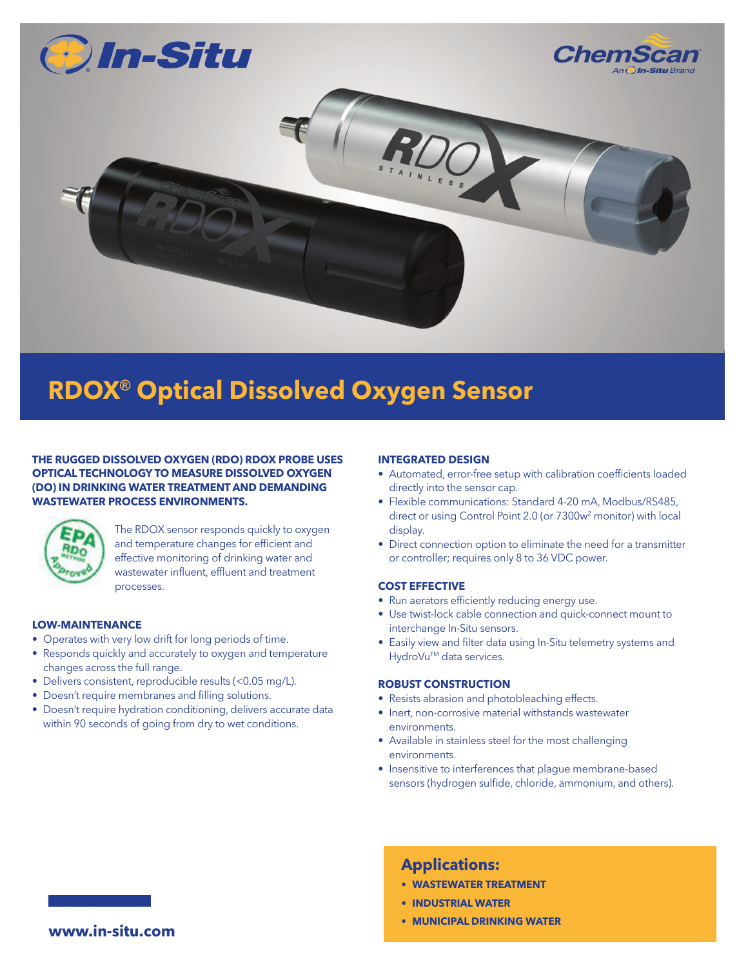

# **RDOX® Optical Dissolved Oxygen Sensor**

**THE RUGGED DISSOLVED OXYGEN (RDO) RDOX PROBE USES OPTICAL TECHNOLOGY TO MEASURE DISSOLVED OXYGEN (DO) IN DRINKING WATER TREATMENT AND DEMANDING WASTEWATER PROCESS ENVIRONMENTS.**



The RDOX sensor responds quickly to oxygen and temperature changes for efficient and effective monitoring of drinking water and wastewater influent, effluent and treatment processes.

### **LOW-MAINTENANCE**

- Operates with very low drift for long periods of time.
- Responds quickly and accurately to oxygen and temperature changes across the full range.
- Delivers consistent, reproducible results (<0.05 mg/L).
- Doesn't require membranes and filling solutions.
- Doesn't require hydration conditioning, delivers accurate data within 90 seconds of going from dry to wet conditions.

#### **INTEGRATED DESIGN**

- Automated, error-free setup with calibration coefficients loaded directly into the sensor cap.
- Flexible communications: Standard 4-20 mA, Modbus/RS485, direct or using Control Point 2.0 (or 7300w<sup>2</sup> monitor) with local display.
- Direct connection option to eliminate the need for a transmitter or controller; requires only 8 to 36 VDC power.

# **COST EFFECTIVE**

- Run aerators efficiently reducing energy use.
- Use twist-lock cable connection and quick-connect mount to interchange In-Situ sensors.
- Easily view and filter data using In-Situ telemetry systems and HydroVu<sup>™</sup> data services.

#### **ROBUST CONSTRUCTION**

- Resists abrasion and photobleaching effects.
- Inert, non-corrosive material withstands wastewater environments.
- Available in stainless steel for the most challenging environments.
- Insensitive to interferences that plague membrane-based sensors (hydrogen sulfide, chloride, ammonium, and others).

# **Applications:**

- **• WASTEWATER TREATMENT**
- **• INDUSTRIAL WATER**
- **• MUNICIPAL DRINKING WATER**

**www.in-situ.com**